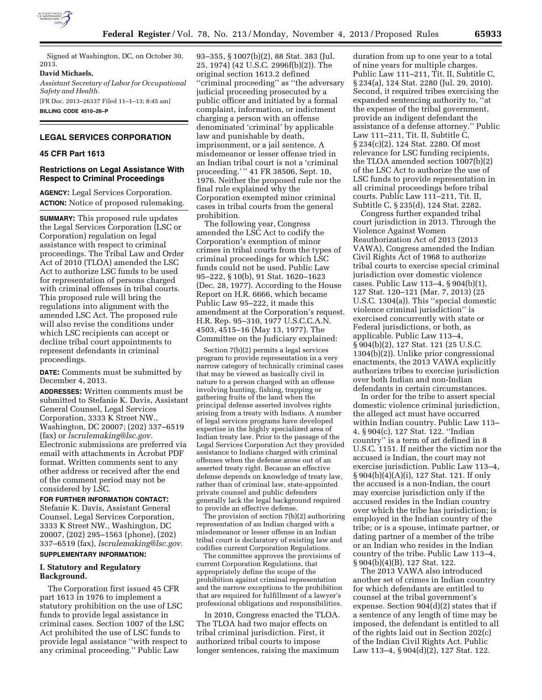

Signed at Washington, DC, on October 30, 2013.

#### **David Michaels,**

*Assistant Secretary of Labor for Occupational Safety and Health.* 

[FR Doc. 2013–26337 Filed 11–1–13; 8:45 am] **BILLING CODE 4510–26–P** 

# **LEGAL SERVICES CORPORATION**

### **45 CFR Part 1613**

### **Restrictions on Legal Assistance With Respect to Criminal Proceedings**

**AGENCY:** Legal Services Corporation. **ACTION:** Notice of proposed rulemaking.

**SUMMARY:** This proposed rule updates the Legal Services Corporation (LSC or Corporation) regulation on legal assistance with respect to criminal proceedings. The Tribal Law and Order Act of 2010 (TLOA) amended the LSC Act to authorize LSC funds to be used for representation of persons charged with criminal offenses in tribal courts. This proposed rule will bring the regulations into alignment with the amended LSC Act. The proposed rule will also revise the conditions under which LSC recipients can accept or decline tribal court appointments to represent defendants in criminal proceedings.

**DATE:** Comments must be submitted by December 4, 2013.

**ADDRESSES:** Written comments must be submitted to Stefanie K. Davis, Assistant General Counsel, Legal Services Corporation, 3333 K Street NW., Washington, DC 20007; (202) 337–6519 (fax) or *[lscrulemaking@lsc.gov.](mailto:lscrulemaking@lsc.gov)*  Electronic submissions are preferred via email with attachments in Acrobat PDF format. Written comments sent to any other address or received after the end of the comment period may not be considered by LSC.

### **FOR FURTHER INFORMATION CONTACT:**

Stefanie K. Davis, Assistant General Counsel, Legal Services Corporation, 3333 K Street NW., Washington, DC 20007, (202) 295–1563 (phone), (202) 337–6519 (fax), *[lscrulemaking@lsc.gov.](mailto:lscrulemaking@lsc.gov)* 

# **SUPPLEMENTARY INFORMATION:**

## **I. Statutory and Regulatory Background.**

The Corporation first issued 45 CFR part 1613 in 1976 to implement a statutory prohibition on the use of LSC funds to provide legal assistance in criminal cases. Section 1007 of the LSC Act prohibited the use of LSC funds to provide legal assistance ''with respect to any criminal proceeding.'' Public Law

93–355, § 1007(b)(2), 88 Stat. 383 (Jul. 25, 1974) (42 U.S.C. 2996f(b)(2)). The original section 1613.2 defined ''criminal proceeding'' as ''the adversary judicial proceeding prosecuted by a public officer and initiated by a formal complaint, information, or indictment charging a person with an offense denominated 'criminal' by applicable law and punishable by death, imprisonment, or a jail sentence. A misdemeanor or lesser offense tried in an Indian tribal court is not a 'criminal proceeding.' '' 41 FR 38506, Sept. 10, 1976. Neither the proposed rule nor the final rule explained why the Corporation exempted minor criminal cases in tribal courts from the general prohibition.

The following year, Congress amended the LSC Act to codify the Corporation's exemption of minor crimes in tribal courts from the types of criminal proceedings for which LSC funds could not be used. Public Law 95–222, § 10(b), 91 Stat. 1620–1623 (Dec. 28, 1977). According to the House Report on H.R. 6666, which became Public Law 95–222, it made this amendment at the Corporation's request. H.R. Rep. 95–310, 1977 U.S.C.C.A.N. 4503, 4515–16 (May 13, 1977). The Committee on the Judiciary explained:

Section 7(b)(2) permits a legal services program to provide representation in a very narrow category of technically criminal cases that may be viewed as basically civil in nature to a person charged with an offense involving hunting, fishing, trapping or gathering fruits of the land when the principal defense asserted involves rights arising from a treaty with Indians. A number of legal services programs have developed expertise in the highly specialized area of Indian treaty law. Prior to the passage of the Legal Services Corporation Act they provided assistance to Indians charged with criminal offenses when the defense arose out of an asserted treaty right. Because an effective defense depends on knowledge of treaty law, rather than of criminal law, state-appointed private counsel and public defenders generally lack the legal background required to provide an effective defense.

The provision of section 7(b)(2) authorizing representation of an Indian charged with a misdemeanor or lesser offense in an Indian tribal court is declaratory of existing law and codifies current Corporation Regulations.

The committee approves the provisions of current Corporation Regulations, that appropriately define the scope of the prohibition against criminal representation and the narrow exceptions to the prohibition that are required for fulfillment of a lawyer's professional obligations and responsibilities.

In 2010, Congress enacted the TLOA. The TLOA had two major effects on tribal criminal jurisdiction. First, it authorized tribal courts to impose longer sentences, raising the maximum

duration from up to one year to a total of nine years for multiple charges. Public Law 111–211, Tit. II, Subtitle C, § 234(a), 124 Stat. 2280 (Jul. 29, 2010). Second, it required tribes exercising the expanded sentencing authority to, ''at the expense of the tribal government, provide an indigent defendant the assistance of a defense attorney.'' Public Law 111–211, Tit. II, Subtitle C, § 234(c)(2), 124 Stat. 2280. Of most relevance for LSC funding recipients, the TLOA amended section 1007(b)(2) of the LSC Act to authorize the use of LSC funds to provide representation in all criminal proceedings before tribal courts. Public Law 111–211, Tit. II, Subtitle C, § 235(d), 124 Stat. 2282.

Congress further expanded tribal court jurisdiction in 2013. Through the Violence Against Women Reauthorization Act of 2013 (2013 VAWA), Congress amended the Indian Civil Rights Act of 1968 to authorize tribal courts to exercise special criminal jurisdiction over domestic violence cases. Public Law 113–4, § 904(b)(1), 127 Stat. 120–121 (Mar. 7, 2013) (25 U.S.C. 1304(a)). This ''special domestic violence criminal jurisdiction'' is exercised concurrently with state or Federal jurisdictions, or both, as applicable. Public Law 113–4, § 904(b)(2), 127 Stat. 121 (25 U.S.C. 1304(b)(2)). Unlike prior congressional enactments, the 2013 VAWA explicitly authorizes tribes to exercise jurisdiction over both Indian and non-Indian defendants in certain circumstances.

In order for the tribe to assert special domestic violence criminal jurisdiction, the alleged act must have occurred within Indian country. Public Law 113– 4, § 904(c), 127 Stat. 122. ''Indian country'' is a term of art defined in 8 U.S.C. 1151. If neither the victim nor the accused is Indian, the court may not exercise jurisdiction. Public Law 113–4, § 904(b)(4)(A)(i), 127 Stat. 121. If only the accused is a non-Indian, the court may exercise jurisdiction only if the accused resides in the Indian country over which the tribe has jurisdiction; is employed in the Indian country of the tribe; or is a spouse, intimate partner, or dating partner of a member of the tribe or an Indian who resides in the Indian country of the tribe. Public Law 113–4, § 904(b)(4)(B), 127 Stat. 122.

The 2013 VAWA also introduced another set of crimes in Indian country for which defendants are entitled to counsel at the tribal government's expense. Section  $904(d)(2)$  states that if a sentence of any length of time may be imposed, the defendant is entitled to all of the rights laid out in Section 202(c) of the Indian Civil Rights Act. Public Law 113–4, § 904(d)(2), 127 Stat. 122.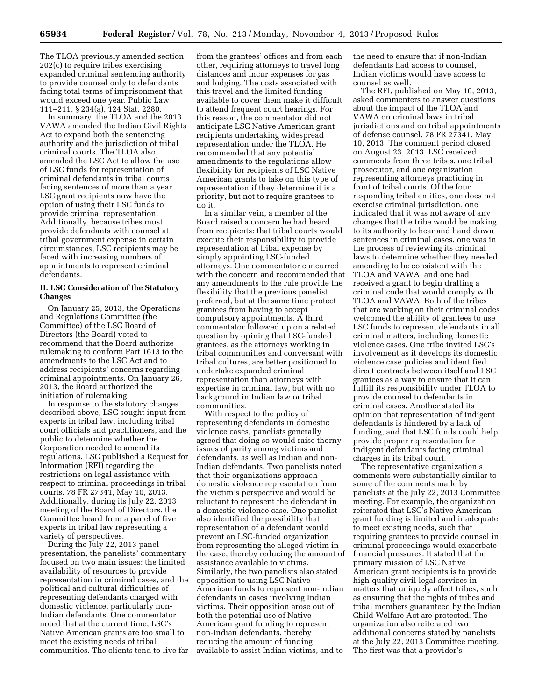The TLOA previously amended section 202(c) to require tribes exercising expanded criminal sentencing authority to provide counsel only to defendants facing total terms of imprisonment that would exceed one year. Public Law 111–211, § 234(a), 124 Stat. 2280.

In summary, the TLOA and the 2013 VAWA amended the Indian Civil Rights Act to expand both the sentencing authority and the jurisdiction of tribal criminal courts. The TLOA also amended the LSC Act to allow the use of LSC funds for representation of criminal defendants in tribal courts facing sentences of more than a year. LSC grant recipients now have the option of using their LSC funds to provide criminal representation. Additionally, because tribes must provide defendants with counsel at tribal government expense in certain circumstances, LSC recipients may be faced with increasing numbers of appointments to represent criminal defendants.

### **II. LSC Consideration of the Statutory Changes**

On January 25, 2013, the Operations and Regulations Committee (the Committee) of the LSC Board of Directors (the Board) voted to recommend that the Board authorize rulemaking to conform Part 1613 to the amendments to the LSC Act and to address recipients' concerns regarding criminal appointments. On January 26, 2013, the Board authorized the initiation of rulemaking.

In response to the statutory changes described above, LSC sought input from experts in tribal law, including tribal court officials and practitioners, and the public to determine whether the Corporation needed to amend its regulations. LSC published a Request for Information (RFI) regarding the restrictions on legal assistance with respect to criminal proceedings in tribal courts. 78 FR 27341, May 10, 2013. Additionally, during its July 22, 2013 meeting of the Board of Directors, the Committee heard from a panel of five experts in tribal law representing a variety of perspectives.

During the July 22, 2013 panel presentation, the panelists' commentary focused on two main issues: the limited availability of resources to provide representation in criminal cases, and the political and cultural difficulties of representing defendants charged with domestic violence, particularly non-Indian defendants. One commentator noted that at the current time, LSC's Native American grants are too small to meet the existing needs of tribal communities. The clients tend to live far

from the grantees' offices and from each other, requiring attorneys to travel long distances and incur expenses for gas and lodging. The costs associated with this travel and the limited funding available to cover them make it difficult to attend frequent court hearings. For this reason, the commentator did not anticipate LSC Native American grant recipients undertaking widespread representation under the TLOA. He recommended that any potential amendments to the regulations allow flexibility for recipients of LSC Native American grants to take on this type of representation if they determine it is a priority, but not to require grantees to do it.

In a similar vein, a member of the Board raised a concern he had heard from recipients: that tribal courts would execute their responsibility to provide representation at tribal expense by simply appointing LSC-funded attorneys. One commentator concurred with the concern and recommended that any amendments to the rule provide the flexibility that the previous panelist preferred, but at the same time protect grantees from having to accept compulsory appointments. A third commentator followed up on a related question by opining that LSC-funded grantees, as the attorneys working in tribal communities and conversant with tribal cultures, are better positioned to undertake expanded criminal representation than attorneys with expertise in criminal law, but with no background in Indian law or tribal communities.

With respect to the policy of representing defendants in domestic violence cases, panelists generally agreed that doing so would raise thorny issues of parity among victims and defendants, as well as Indian and non-Indian defendants. Two panelists noted that their organizations approach domestic violence representation from the victim's perspective and would be reluctant to represent the defendant in a domestic violence case. One panelist also identified the possibility that representation of a defendant would prevent an LSC-funded organization from representing the alleged victim in the case, thereby reducing the amount of assistance available to victims. Similarly, the two panelists also stated opposition to using LSC Native American funds to represent non-Indian defendants in cases involving Indian victims. Their opposition arose out of both the potential use of Native American grant funding to represent non-Indian defendants, thereby reducing the amount of funding available to assist Indian victims, and to

the need to ensure that if non-Indian defendants had access to counsel, Indian victims would have access to counsel as well.

The RFI, published on May 10, 2013, asked commenters to answer questions about the impact of the TLOA and VAWA on criminal laws in tribal jurisdictions and on tribal appointments of defense counsel. 78 FR 27341, May 10, 2013. The comment period closed on August 23, 2013. LSC received comments from three tribes, one tribal prosecutor, and one organization representing attorneys practicing in front of tribal courts. Of the four responding tribal entities, one does not exercise criminal jurisdiction, one indicated that it was not aware of any changes that the tribe would be making to its authority to hear and hand down sentences in criminal cases, one was in the process of reviewing its criminal laws to determine whether they needed amending to be consistent with the TLOA and VAWA, and one had received a grant to begin drafting a criminal code that would comply with TLOA and VAWA. Both of the tribes that are working on their criminal codes welcomed the ability of grantees to use LSC funds to represent defendants in all criminal matters, including domestic violence cases. One tribe invited LSC's involvement as it develops its domestic violence case policies and identified direct contracts between itself and LSC grantees as a way to ensure that it can fulfill its responsibility under TLOA to provide counsel to defendants in criminal cases. Another stated its opinion that representation of indigent defendants is hindered by a lack of funding, and that LSC funds could help provide proper representation for indigent defendants facing criminal charges in its tribal court.

The representative organization's comments were substantially similar to some of the comments made by panelists at the July 22, 2013 Committee meeting. For example, the organization reiterated that LSC's Native American grant funding is limited and inadequate to meet existing needs, such that requiring grantees to provide counsel in criminal proceedings would exacerbate financial pressures. It stated that the primary mission of LSC Native American grant recipients is to provide high-quality civil legal services in matters that uniquely affect tribes, such as ensuring that the rights of tribes and tribal members guaranteed by the Indian Child Welfare Act are protected. The organization also reiterated two additional concerns stated by panelists at the July 22, 2013 Committee meeting. The first was that a provider's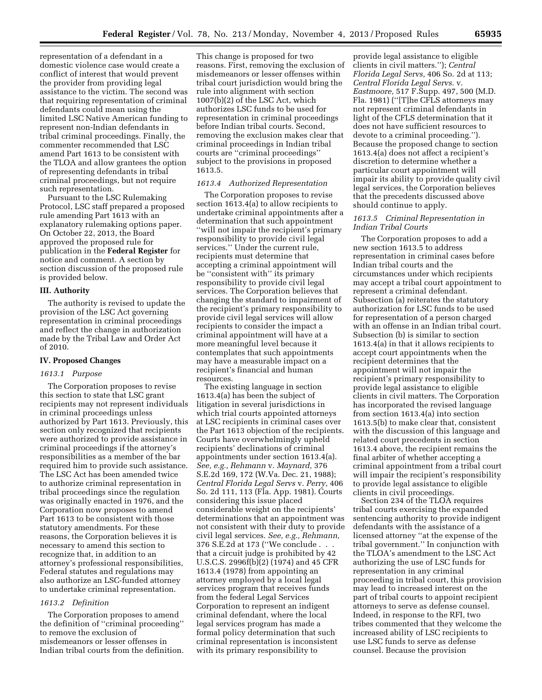representation of a defendant in a domestic violence case would create a conflict of interest that would prevent the provider from providing legal assistance to the victim. The second was that requiring representation of criminal defendants could mean using the limited LSC Native American funding to represent non-Indian defendants in tribal criminal proceedings. Finally, the commenter recommended that LSC amend Part 1613 to be consistent with the TLOA and allow grantees the option of representing defendants in tribal criminal proceedings, but not require such representation.

Pursuant to the LSC Rulemaking Protocol, LSC staff prepared a proposed rule amending Part 1613 with an explanatory rulemaking options paper. On October 22, 2013, the Board approved the proposed rule for publication in the **Federal Register** for notice and comment. A section by section discussion of the proposed rule is provided below.

### **III. Authority**

The authority is revised to update the provision of the LSC Act governing representation in criminal proceedings and reflect the change in authorization made by the Tribal Law and Order Act of 2010.

#### **IV. Proposed Changes**

### *1613.1 Purpose*

The Corporation proposes to revise this section to state that LSC grant recipients may not represent individuals in criminal proceedings unless authorized by Part 1613. Previously, this section only recognized that recipients were authorized to provide assistance in criminal proceedings if the attorney's responsibilities as a member of the bar required him to provide such assistance. The LSC Act has been amended twice to authorize criminal representation in tribal proceedings since the regulation was originally enacted in 1976, and the Corporation now proposes to amend Part 1613 to be consistent with those statutory amendments. For these reasons, the Corporation believes it is necessary to amend this section to recognize that, in addition to an attorney's professional responsibilities, Federal statutes and regulations may also authorize an LSC-funded attorney to undertake criminal representation.

### *1613.2 Definition*

The Corporation proposes to amend the definition of ''criminal proceeding'' to remove the exclusion of misdemeanors or lesser offenses in Indian tribal courts from the definition.

This change is proposed for two reasons. First, removing the exclusion of misdemeanors or lesser offenses within tribal court jurisdiction would bring the rule into alignment with section 1007(b)(2) of the LSC Act, which authorizes LSC funds to be used for representation in criminal proceedings before Indian tribal courts. Second, removing the exclusion makes clear that criminal proceedings in Indian tribal courts are ''criminal proceedings'' subject to the provisions in proposed 1613.5.

### *1613.4 Authorized Representation*

The Corporation proposes to revise section 1613.4(a) to allow recipients to undertake criminal appointments after a determination that such appointment ''will not impair the recipient's primary responsibility to provide civil legal services.'' Under the current rule, recipients must determine that accepting a criminal appointment will be ''consistent with'' its primary responsibility to provide civil legal services. The Corporation believes that changing the standard to impairment of the recipient's primary responsibility to provide civil legal services will allow recipients to consider the impact a criminal appointment will have at a more meaningful level because it contemplates that such appointments may have a measurable impact on a recipient's financial and human resources.

The existing language in section 1613.4(a) has been the subject of litigation in several jurisdictions in which trial courts appointed attorneys at LSC recipients in criminal cases over the Part 1613 objection of the recipients. Courts have overwhelmingly upheld recipients' declinations of criminal appointments under section 1613.4(a). *See, e.g., Rehmann* v. *Maynard,* 376 S.E.2d 169, 172 (W.Va. Dec. 21, 1988); *Central Florida Legal Servs* v. *Perry,* 406 So. 2d 111, 113 (Fla. App. 1981). Courts considering this issue placed considerable weight on the recipients' determinations that an appointment was not consistent with their duty to provide civil legal services. *See, e.g., Rehmann,*  376 S.E.2d at 173 (''We conclude . . . that a circuit judge is prohibited by 42 U.S.C.S. 2996f(b)(2) (1974) and 45 CFR 1613.4 (1978) from appointing an attorney employed by a local legal services program that receives funds from the federal Legal Services Corporation to represent an indigent criminal defendant, where the local legal services program has made a formal policy determination that such criminal representation is inconsistent with its primary responsibility to

provide legal assistance to eligible clients in civil matters.''); *Central Florida Legal Servs,* 406 So. 2d at 113; *Central Florida Legal Servs.* v. *Eastmoore,* 517 F.Supp. 497, 500 (M.D. Fla. 1981) (''[T]he CFLS attorneys may not represent criminal defendants in light of the CFLS determination that it does not have sufficient resources to devote to a criminal proceeding.''). Because the proposed change to section 1613.4(a) does not affect a recipient's discretion to determine whether a particular court appointment will impair its ability to provide quality civil legal services, the Corporation believes that the precedents discussed above should continue to apply.

### *1613.5 Criminal Representation in Indian Tribal Courts*

The Corporation proposes to add a new section 1613.5 to address representation in criminal cases before Indian tribal courts and the circumstances under which recipients may accept a tribal court appointment to represent a criminal defendant. Subsection (a) reiterates the statutory authorization for LSC funds to be used for representation of a person charged with an offense in an Indian tribal court. Subsection (b) is similar to section 1613.4(a) in that it allows recipients to accept court appointments when the recipient determines that the appointment will not impair the recipient's primary responsibility to provide legal assistance to eligible clients in civil matters. The Corporation has incorporated the revised language from section 1613.4(a) into section 1613.5(b) to make clear that, consistent with the discussion of this language and related court precedents in section 1613.4 above, the recipient remains the final arbiter of whether accepting a criminal appointment from a tribal court will impair the recipient's responsibility to provide legal assistance to eligible clients in civil proceedings.

Section 234 of the TLOA requires tribal courts exercising the expanded sentencing authority to provide indigent defendants with the assistance of a licensed attorney ''at the expense of the tribal government.'' In conjunction with the TLOA's amendment to the LSC Act authorizing the use of LSC funds for representation in any criminal proceeding in tribal court, this provision may lead to increased interest on the part of tribal courts to appoint recipient attorneys to serve as defense counsel. Indeed, in response to the RFI, two tribes commented that they welcome the increased ability of LSC recipients to use LSC funds to serve as defense counsel. Because the provision